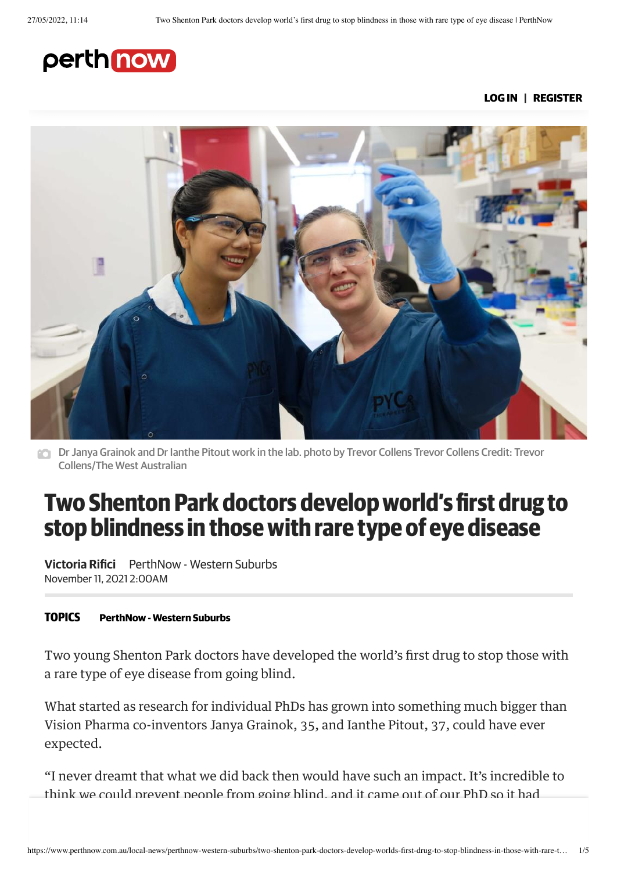# perth now

LOG IN | REGISTER



Dr Janya Grainok and Dr Ianthe Pitout work in the lab. photo by Trevor Collens Trevor Collens Credit: Trevor Collens/The West Australian

# Two Shenton Park doctors develop world's first drug to stop blindness in those with rare type of eye disease

Victoria Rifici PerthNow - Western Suburbs November 11, 2021 2:00AM

#### **TOPICS** [PerthNow](https://www.perthnow.com.au/local-news/perthnow-western-suburbs) - Western Suburbs

Two young Shenton Park doctors have developed the world's first drug to stop those with a rare type of eye disease from going blind.

What started as research for individual PhDs has grown into something much bigger than Vision Pharma co-inventors Janya Grainok, 35, and Ianthe Pitout, 37, could have ever expected.

"I never dreamt that what we did back then would have such an impact. It's incredible to think we could prevent people from going blind, and it came out of our PhD so it had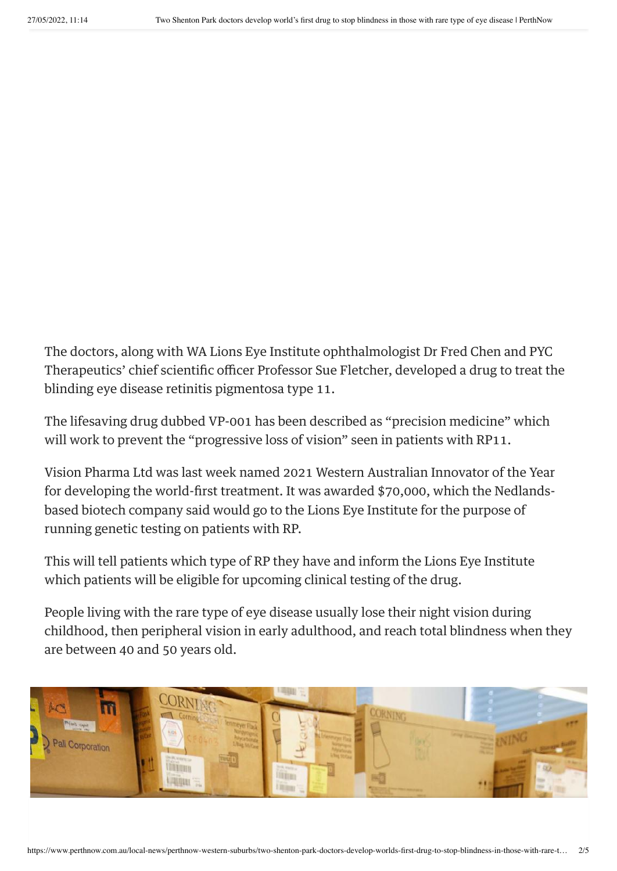The doctors, along with WA Lions Eye Institute ophthalmologist Dr Fred Chen and PYC Therapeutics' chief scientific officer Professor Sue Fletcher, developed a drug to treat the blinding eye disease retinitis pigmentosa type 11.

The lifesaving drug dubbed VP-001 has been described as "precision medicine" which will work to prevent the "progressive loss of vision" seen in patients with RP11.

Vision Pharma Ltd was last week named 2021 Western Australian Innovator of the Year for developing the world-first treatment. It was awarded \$70,000, which the Nedlandsbased biotech company said would go to the Lions Eye Institute for the purpose of running genetic testing on patients with RP.

This will tell patients which type of RP they have and inform the Lions Eye Institute which patients will be eligible for upcoming clinical testing of the drug.

People living with the rare type of eye disease usually lose their night vision during childhood, then peripheral vision in early adulthood, and reach total blindness when they are between 40 and 50 years old.

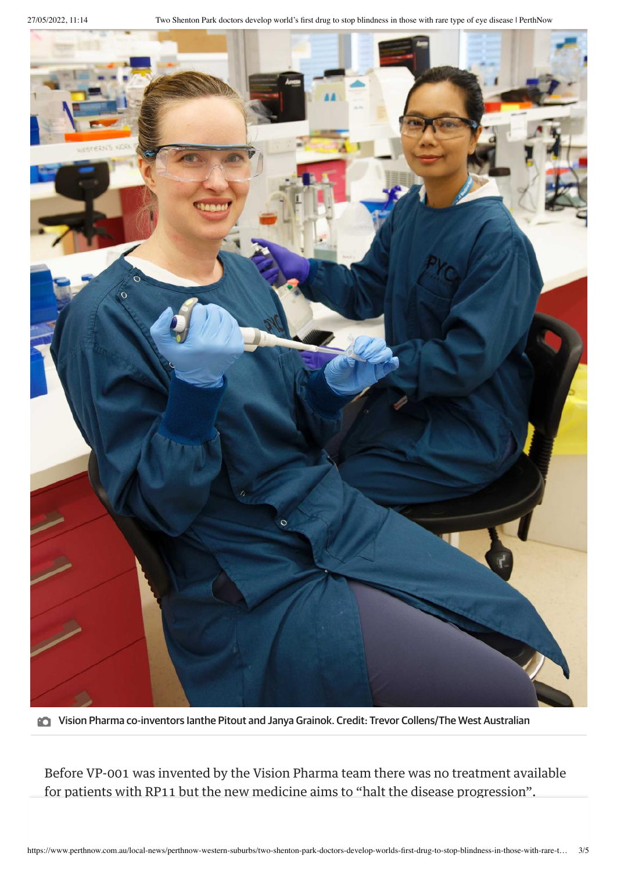

Vision Pharma co-inventors Ianthe Pitout and Janya Grainok. Credit: Trevor Collens/The West Australian

Before VP-001 was invented by the Vision Pharma team there was no treatment available for patients with RP11 but the new medicine aims to "halt the disease progression".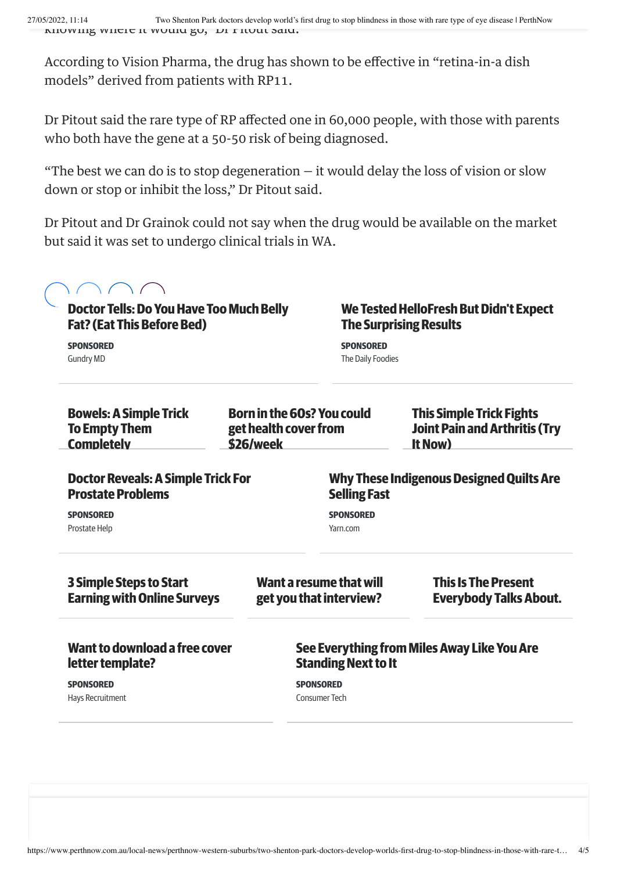According to Vision Pharma, the drug has shown to be effective in "retina-in-a dish models" derived from patients with RP11.

Dr Pitout said the rare type of RP affected one in 60,000 people, with those with parents who both have the gene at a 50-50 risk of being diagnosed.

"The best we can do is to stop degeneration  $-$  it would delay the loss of vision or slow down or stop or inhibit the loss," Dr Pitout said.

Dr Pitout and Dr Grainok could not say when the drug would be available on the market but said it was set to undergo clinical trials in WA.

| <b>Doctor Tells: Do You Have Too Much Belly</b><br><b>Fat? (Eat This Before Bed)</b> |                                    |                                                                           | We Tested HelloFresh But Didn't Expect<br><b>The Surprising Results</b>            |  |
|--------------------------------------------------------------------------------------|------------------------------------|---------------------------------------------------------------------------|------------------------------------------------------------------------------------|--|
| <b>SPONSORED</b><br><b>Gundry MD</b>                                                 |                                    | <b>SPONSORED</b><br>The Daily Foodies                                     |                                                                                    |  |
| <b>Bowels: A Simple Trick</b><br><b>To Empty Them</b><br><b>Completely</b>           | get health cover from<br>\$26/week | <b>Born in the 60s? You could</b>                                         | <b>This Simple Trick Fights</b><br><b>Joint Pain and Arthritis (Try</b><br>It Now) |  |
| <b>Doctor Reveals: A Simple Trick For</b><br><b>Prostate Problems</b>                |                                    | <b>Selling Fast</b>                                                       | <b>Why These Indigenous Designed Quilts Are</b>                                    |  |
| <b>SPONSORED</b><br>Prostate Help                                                    |                                    | <b>SPONSORED</b><br>Yarn.com                                              |                                                                                    |  |
| <b>3 Simple Steps to Start</b><br><b>Earning with Online Surveys</b>                 |                                    | Want a resume that will<br>get you that interview?                        | <b>This Is The Present</b><br><b>Everybody Talks About.</b>                        |  |
| Want to download a free cover<br>letter template?                                    |                                    | See Everything from Miles Away Like You Are<br><b>Standing Next to It</b> |                                                                                    |  |
|                                                                                      |                                    |                                                                           |                                                                                    |  |